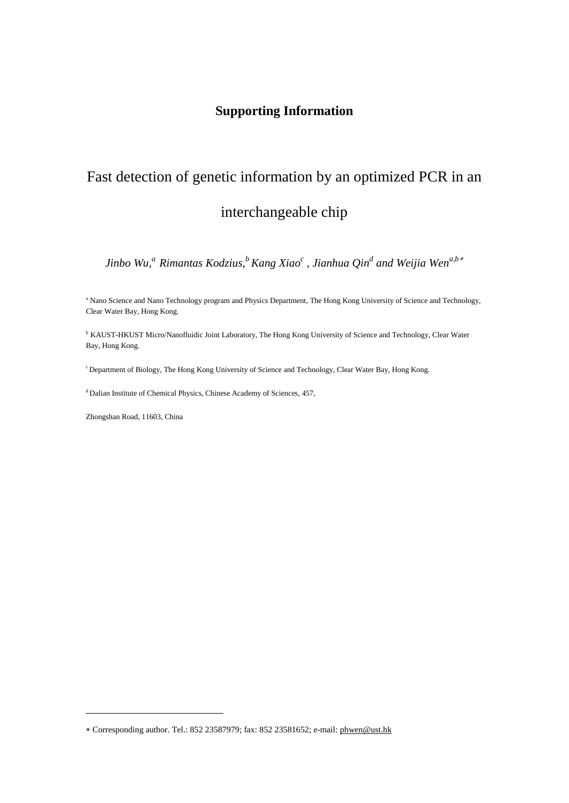## **Supporting Information**

# Fast detection of genetic information by an optimized PCR in an interchangeable chip

 $Jinho~Wu, ^a$   $Rimantas~Kodzius, ^bKang~Xiao^c$  ,  $Jianhua~Qin^d$  and Weijia Wen $^{a,b\,*}$ 

<sup>a</sup> Nano Science and Nano Technology program and Physics Department, The Hong Kong University of Science and Technology, Clear Water Bay, Hong Kong.

<sup>b</sup> KAUST-HKUST Micro/Nanofluidic Joint Laboratory, The Hong Kong University of Science and Technology, Clear Water Bay, Hong Kong.

c Department of Biology, The Hong Kong University of Science and Technology, Clear Water Bay, Hong Kong.

<sup>d</sup> Dalian Institute of Chemical Physics, Chinese Academy of Sciences, 457,

Zhongshan Road, 11603, China

<u>.</u>

<sup>∗</sup> Corresponding author. Tel.: 852 23587979; fax: 852 23581652; e-mail: [phwen@ust.hk](mailto:phwen@ust.hk)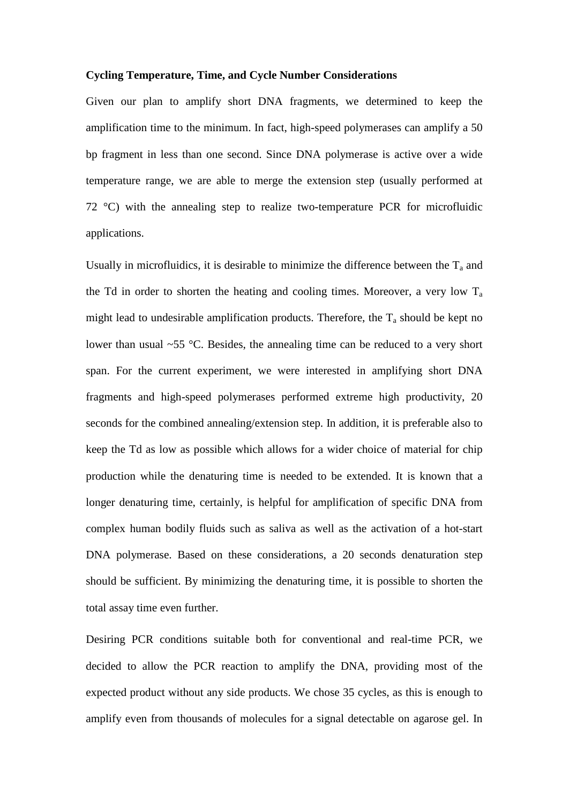#### **Cycling Temperature, Time, and Cycle Number Considerations**

Given our plan to amplify short DNA fragments, we determined to keep the amplification time to the minimum. In fact, high-speed polymerases can amplify a 50 bp fragment in less than one second. Since DNA polymerase is active over a wide temperature range, we are able to merge the extension step (usually performed at 72 °C) with the annealing step to realize two-temperature PCR for microfluidic applications.

Usually in microfluidics, it is desirable to minimize the difference between the  $T_a$  and the Td in order to shorten the heating and cooling times. Moreover, a very low  $T_a$ might lead to undesirable amplification products. Therefore, the  $T_a$  should be kept no lower than usual ~55 °C. Besides, the annealing time can be reduced to a very short span. For the current experiment, we were interested in amplifying short DNA fragments and high-speed polymerases performed extreme high productivity, 20 seconds for the combined annealing/extension step. In addition, it is preferable also to keep the Td as low as possible which allows for a wider choice of material for chip production while the denaturing time is needed to be extended. It is known that a longer denaturing time, certainly, is helpful for amplification of specific DNA from complex human bodily fluids such as saliva as well as the activation of a hot-start DNA polymerase. Based on these considerations, a 20 seconds denaturation step should be sufficient. By minimizing the denaturing time, it is possible to shorten the total assay time even further.

Desiring PCR conditions suitable both for conventional and real-time PCR, we decided to allow the PCR reaction to amplify the DNA, providing most of the expected product without any side products. We chose 35 cycles, as this is enough to amplify even from thousands of molecules for a signal detectable on agarose gel. In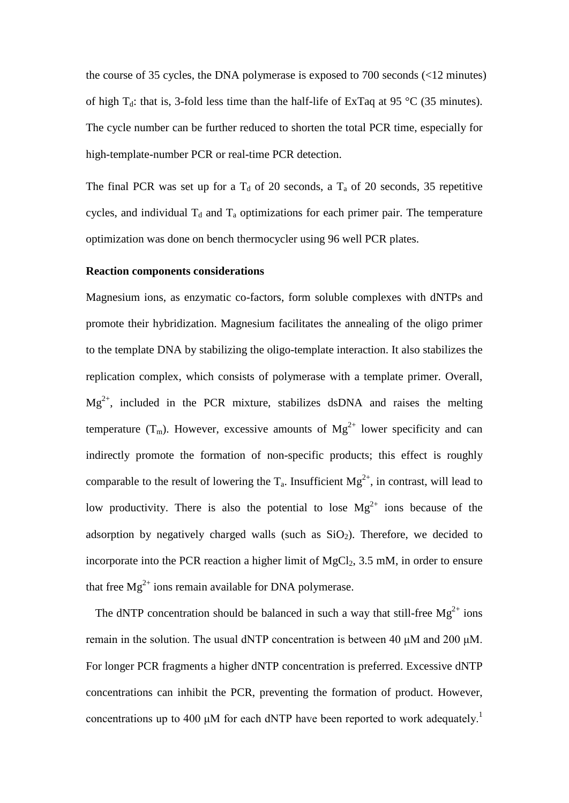the course of 35 cycles, the DNA polymerase is exposed to 700 seconds (<12 minutes) of high  $T_d$ : that is, 3-fold less time than the half-life of ExTaq at 95 °C (35 minutes). The cycle number can be further reduced to shorten the total PCR time, especially for high-template-number PCR or real-time PCR detection.

The final PCR was set up for a  $T_d$  of 20 seconds, a  $T_a$  of 20 seconds, 35 repetitive cycles, and individual  $T_d$  and  $T_a$  optimizations for each primer pair. The temperature optimization was done on bench thermocycler using 96 well PCR plates.

#### **Reaction components considerations**

Magnesium ions, as enzymatic co-factors, form soluble complexes with dNTPs and promote their hybridization. Magnesium facilitates the annealing of the oligo primer to the template DNA by stabilizing the oligo-template interaction. It also stabilizes the replication complex, which consists of polymerase with a template primer. Overall,  $Mg^{2+}$ , included in the PCR mixture, stabilizes dsDNA and raises the melting temperature  $(T_m)$ . However, excessive amounts of  $Mg^{2+}$  lower specificity and can indirectly promote the formation of non-specific products; this effect is roughly comparable to the result of lowering the  $T_a$ . Insufficient  $Mg^{2+}$ , in contrast, will lead to low productivity. There is also the potential to lose  $Mg^{2+}$  ions because of the adsorption by negatively charged walls (such as  $SiO<sub>2</sub>$ ). Therefore, we decided to incorporate into the PCR reaction a higher limit of  $MgCl<sub>2</sub>$ , 3.5 mM, in order to ensure that free  $Mg^{2+}$  ions remain available for DNA polymerase.

The dNTP concentration should be balanced in such a way that still-free  $Mg^{2+}$  ions remain in the solution. The usual dNTP concentration is between 40 μM and 200 μM. For longer PCR fragments a higher dNTP concentration is preferred. Excessive dNTP concentrations can inhibit the PCR, preventing the formation of product. However, concentrations up to 400  $\mu$ M for each dNTP have been reported to work adequately.<sup>1</sup>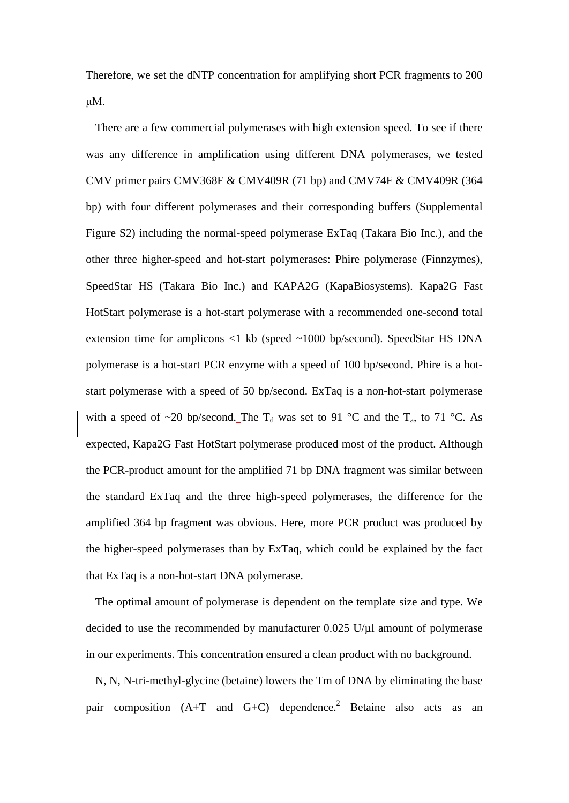Therefore, we set the dNTP concentration for amplifying short PCR fragments to 200 μM.

There are a few commercial polymerases with high extension speed. To see if there was any difference in amplification using different DNA polymerases, we tested CMV primer pairs CMV368F & CMV409R (71 bp) and CMV74F & CMV409R (364 bp) with four different polymerases and their corresponding buffers (Supplemental Figure S2) including the normal-speed polymerase ExTaq (Takara Bio Inc.), and the other three higher-speed and hot-start polymerases: Phire polymerase (Finnzymes), SpeedStar HS (Takara Bio Inc.) and KAPA2G (KapaBiosystems). Kapa2G Fast HotStart polymerase is a hot-start polymerase with a recommended one-second total extension time for amplicons <1 kb (speed ~1000 bp/second). SpeedStar HS DNA polymerase is a hot-start PCR enzyme with a speed of 100 bp/second. Phire is a hotstart polymerase with a speed of 50 bp/second. ExTaq is a non-hot-start polymerase with a speed of ~20 bp/second. The T<sub>d</sub> was set to 91 °C and the T<sub>a</sub>, to 71 °C. As expected, Kapa2G Fast HotStart polymerase produced most of the product. Although the PCR-product amount for the amplified 71 bp DNA fragment was similar between the standard ExTaq and the three high-speed polymerases, the difference for the amplified 364 bp fragment was obvious. Here, more PCR product was produced by the higher-speed polymerases than by ExTaq, which could be explained by the fact that ExTaq is a non-hot-start DNA polymerase.

The optimal amount of polymerase is dependent on the template size and type. We decided to use the recommended by manufacturer  $0.025$  U/ $\mu$ l amount of polymerase in our experiments. This concentration ensured a clean product with no background.

N, N, N-tri-methyl-glycine (betaine) lowers the Tm of DNA by eliminating the base pair composition  $(A+T$  and  $G+C)$  dependence.<sup>2</sup> Betaine also acts as an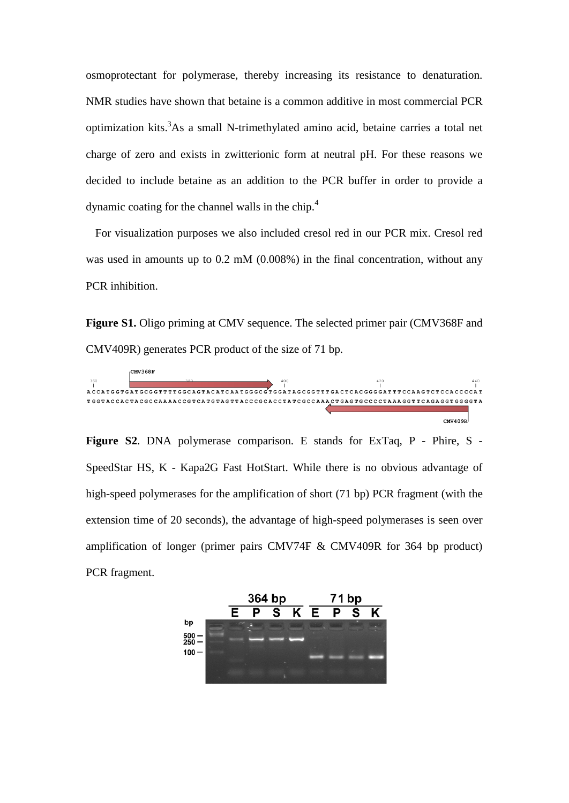osmoprotectant for polymerase, thereby increasing its resistance to denaturation. NMR studies have shown that betaine is a common additive in most commercial PCR optimization kits.<sup>3</sup>As a small N-trimethylated amino acid, betaine carries a total net charge of zero and exists in zwitterionic form at neutral pH. For these reasons we decided to include betaine as an addition to the PCR buffer in order to provide a dynamic coating for the channel walls in the chip.4

For visualization purposes we also included cresol red in our PCR mix. Cresol red was used in amounts up to 0.2 mM (0.008%) in the final concentration, without any PCR inhibition.

Figure S1. Oligo priming at CMV sequence. The selected primer pair (CMV368F and CMV409R) generates PCR product of the size of 71 bp.



**Figure S2**. DNA polymerase comparison. E stands for ExTaq, P - Phire, S - SpeedStar HS, K - Kapa2G Fast HotStart. While there is no obvious advantage of high-speed polymerases for the amplification of short (71 bp) PCR fragment (with the extension time of 20 seconds), the advantage of high-speed polymerases is seen over amplification of longer (primer pairs CMV74F & CMV409R for 364 bp product) PCR fragment.

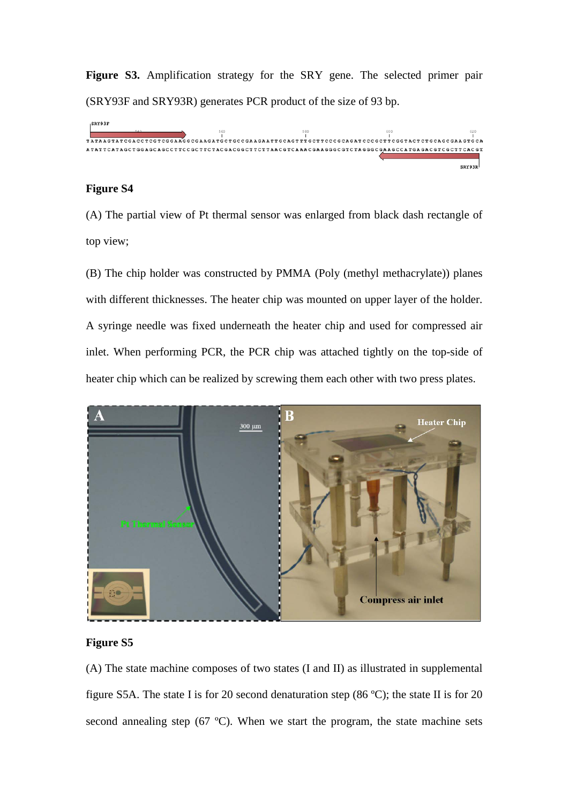**Figure S3.** Amplification strategy for the SRY gene. The selected primer pair (SRY93F and SRY93R) generates PCR product of the size of 93 bp.



## **Figure S4**

(A) The partial view of Pt thermal sensor was enlarged from black dash rectangle of top view;

(B) The chip holder was constructed by PMMA (Poly (methyl methacrylate)) planes with different thicknesses. The heater chip was mounted on upper layer of the holder. A syringe needle was fixed underneath the heater chip and used for compressed air inlet. When performing PCR, the PCR chip was attached tightly on the top-side of heater chip which can be realized by screwing them each other with two press plates.



## **Figure S5**

(A) The state machine composes of two states (I and II) as illustrated in supplemental figure S5A. The state I is for 20 second denaturation step (86 ºC); the state II is for 20 second annealing step (67 °C). When we start the program, the state machine sets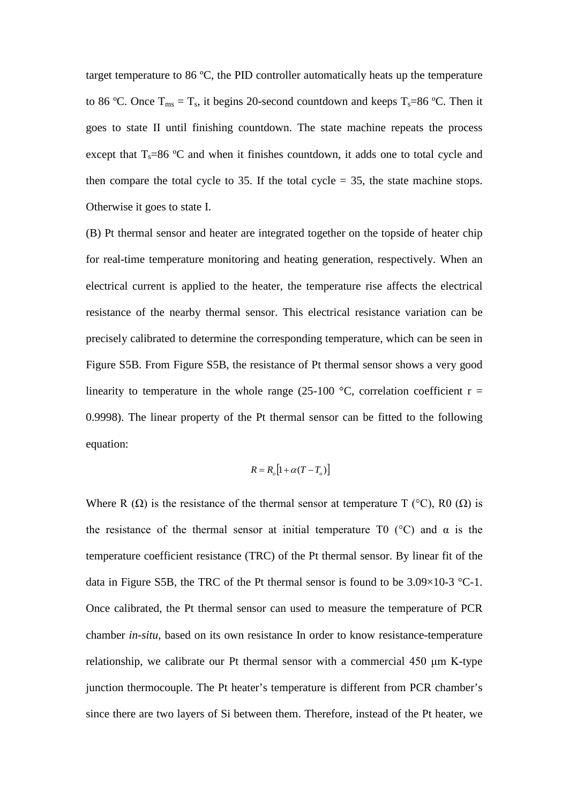target temperature to 86 ºC, the PID controller automatically heats up the temperature to 86 °C. Once  $T_{ms} = T_s$ , it begins 20-second countdown and keeps  $T_s = 86$  °C. Then it goes to state II until finishing countdown. The state machine repeats the process except that  $T_s=86$  °C and when it finishes countdown, it adds one to total cycle and then compare the total cycle to 35. If the total cycle  $=$  35, the state machine stops. Otherwise it goes to state I.

(B) Pt thermal sensor and heater are integrated together on the topside of heater chip for real-time temperature monitoring and heating generation, respectively. When an electrical current is applied to the heater, the temperature rise affects the electrical resistance of the nearby thermal sensor. This electrical resistance variation can be precisely calibrated to determine the corresponding temperature, which can be seen in Figure S5B. From Figure S5B, the resistance of Pt thermal sensor shows a very good linearity to temperature in the whole range (25-100  $^{\circ}$ C, correlation coefficient r = 0.9998). The linear property of the Pt thermal sensor can be fitted to the following equation:

$$
R = R_o \big[ 1 + \alpha (T - T_o) \big]
$$

Where R  $(\Omega)$  is the resistance of the thermal sensor at temperature T (°C), R0  $(\Omega)$  is the resistance of the thermal sensor at initial temperature T0 ( $\degree$ C) and  $\alpha$  is the temperature coefficient resistance (TRC) of the Pt thermal sensor. By linear fit of the data in Figure S5B, the TRC of the Pt thermal sensor is found to be  $3.09 \times 10^{-3}$  °C-1. Once calibrated, the Pt thermal sensor can used to measure the temperature of PCR chamber *in-situ*, based on its own resistance In order to know resistance-temperature relationship, we calibrate our Pt thermal sensor with a commercial 450 μm K-type junction thermocouple. The Pt heater's temperature is different from PCR chamber's since there are two layers of Si between them. Therefore, instead of the Pt heater, we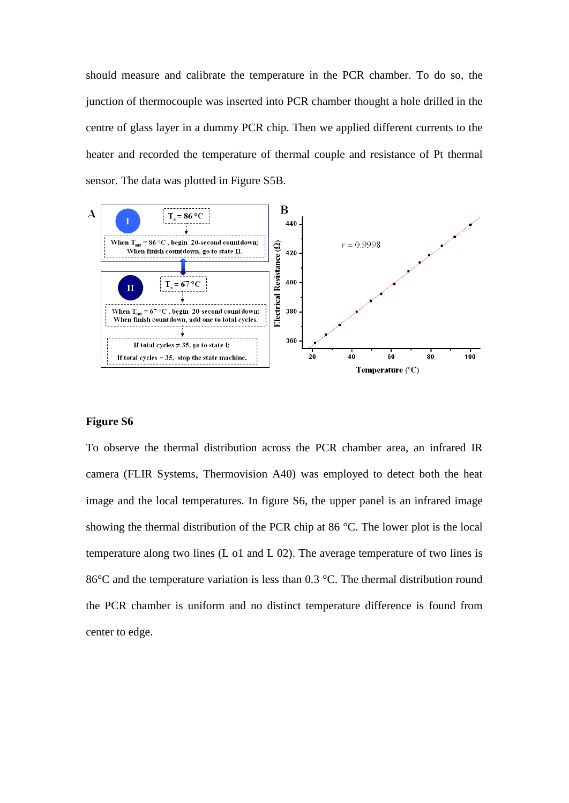should measure and calibrate the temperature in the PCR chamber. To do so, the junction of thermocouple was inserted into PCR chamber thought a hole drilled in the centre of glass layer in a dummy PCR chip. Then we applied different currents to the heater and recorded the temperature of thermal couple and resistance of Pt thermal sensor. The data was plotted in Figure S5B.



## **Figure S6**

To observe the thermal distribution across the PCR chamber area, an infrared IR camera (FLIR Systems, Thermovision A40) was employed to detect both the heat image and the local temperatures. In figure S6, the upper panel is an infrared image showing the thermal distribution of the PCR chip at 86 °C. The lower plot is the local temperature along two lines (L o1 and L 02). The average temperature of two lines is 86°C and the temperature variation is less than 0.3 °C. The thermal distribution round the PCR chamber is uniform and no distinct temperature difference is found from center to edge.